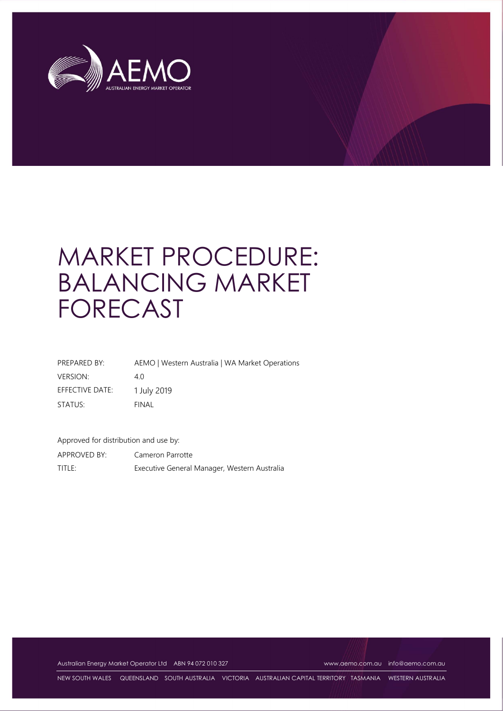

# MARKET PROCEDURE: BALANCING MARKET FORECAST

| PREPARED BY:    | AEMO   Western Australia   WA Market Operations |
|-----------------|-------------------------------------------------|
| <b>VERSION:</b> | 40                                              |
| EFFECTIVE DATE: | 1 July 2019                                     |
| STATUS:         | FINAL                                           |

Approved for distribution and use by: APPROVED BY: Cameron Parrotte

TITLE: Executive General Manager, Western Australia

Australian Energy Market Operator Ltd ABN 94 072 010 327 www.aemo.com.au info@aemo.com.au

NEW SOUTH WALES QUEENSLAND SOUTH AUSTRALIA VICTORIA AUSTRALIAN CAPITAL TERRITORY TASMANIA WESTERN AUSTRALIA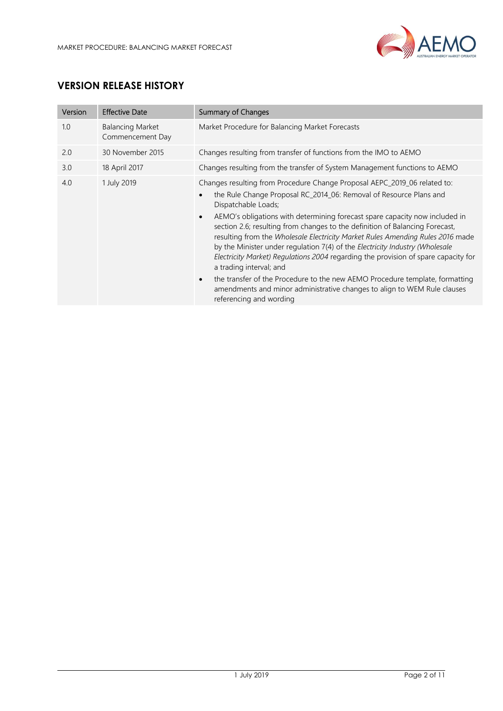

## VERSION RELEASE HISTORY

| Version | <b>Effective Date</b>                       | <b>Summary of Changes</b>                                                                                                                                                                                                                                                                                                                                                                                                                                                                                                                                                                                                                                                                                                                                                                                                                              |
|---------|---------------------------------------------|--------------------------------------------------------------------------------------------------------------------------------------------------------------------------------------------------------------------------------------------------------------------------------------------------------------------------------------------------------------------------------------------------------------------------------------------------------------------------------------------------------------------------------------------------------------------------------------------------------------------------------------------------------------------------------------------------------------------------------------------------------------------------------------------------------------------------------------------------------|
| 1.0     | <b>Balancing Market</b><br>Commencement Day | Market Procedure for Balancing Market Forecasts                                                                                                                                                                                                                                                                                                                                                                                                                                                                                                                                                                                                                                                                                                                                                                                                        |
| 2.0     | 30 November 2015                            | Changes resulting from transfer of functions from the IMO to AEMO                                                                                                                                                                                                                                                                                                                                                                                                                                                                                                                                                                                                                                                                                                                                                                                      |
| 3.0     | 18 April 2017                               | Changes resulting from the transfer of System Management functions to AEMO                                                                                                                                                                                                                                                                                                                                                                                                                                                                                                                                                                                                                                                                                                                                                                             |
| 4.0     | 1 July 2019                                 | Changes resulting from Procedure Change Proposal AEPC_2019_06 related to:<br>the Rule Change Proposal RC_2014_06: Removal of Resource Plans and<br>$\bullet$<br>Dispatchable Loads;<br>AEMO's obligations with determining forecast spare capacity now included in<br>$\bullet$<br>section 2.6; resulting from changes to the definition of Balancing Forecast,<br>resulting from the Wholesale Electricity Market Rules Amending Rules 2016 made<br>by the Minister under regulation 7(4) of the Electricity Industry (Wholesale<br>Electricity Market) Regulations 2004 regarding the provision of spare capacity for<br>a trading interval; and<br>the transfer of the Procedure to the new AEMO Procedure template, formatting<br>$\bullet$<br>amendments and minor administrative changes to align to WEM Rule clauses<br>referencing and wording |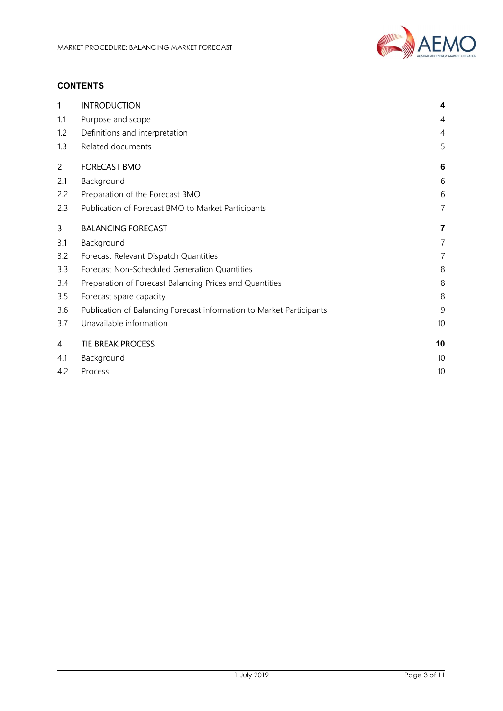

#### **CONTENTS**

| 1              | <b>INTRODUCTION</b>                                                  | $\overline{\mathbf{4}}$ |
|----------------|----------------------------------------------------------------------|-------------------------|
| 1.1            | Purpose and scope                                                    | 4                       |
| 1.2            | Definitions and interpretation                                       | 4                       |
| 1.3            | Related documents                                                    | 5                       |
| $\overline{2}$ | <b>FORECAST BMO</b>                                                  | 6                       |
| 2.1            | Background                                                           | 6                       |
| 2.2            | Preparation of the Forecast BMO                                      | 6                       |
| 2.3            | Publication of Forecast BMO to Market Participants                   | 7                       |
| 3              | <b>BALANCING FORECAST</b>                                            | 7                       |
| 3.1            | Background                                                           | $\overline{7}$          |
| 3.2            | Forecast Relevant Dispatch Quantities                                | 7                       |
| 3.3            | Forecast Non-Scheduled Generation Quantities                         | 8                       |
| 3.4            | Preparation of Forecast Balancing Prices and Quantities              | 8                       |
| 3.5            | Forecast spare capacity                                              | 8                       |
| 3.6            | Publication of Balancing Forecast information to Market Participants | 9                       |
| 3.7            | Unavailable information                                              | 10                      |
| 4              | <b>TIE BREAK PROCESS</b>                                             | 10                      |
| 4.1            | Background                                                           | 10                      |
| 4.2            | Process                                                              | 10                      |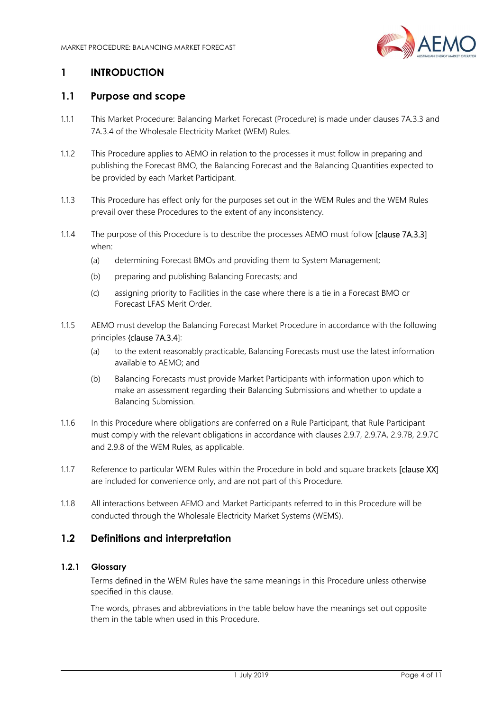

## 1 INTRODUCTION

#### 1.1 Purpose and scope

- 1.1.1 This Market Procedure: Balancing Market Forecast (Procedure) is made under clauses 7A.3.3 and 7A.3.4 of the Wholesale Electricity Market (WEM) Rules.
- 1.1.2 This Procedure applies to AEMO in relation to the processes it must follow in preparing and publishing the Forecast BMO, the Balancing Forecast and the Balancing Quantities expected to be provided by each Market Participant.
- 1.1.3 This Procedure has effect only for the purposes set out in the WEM Rules and the WEM Rules prevail over these Procedures to the extent of any inconsistency.
- 1.1.4 The purpose of this Procedure is to describe the processes AEMO must follow [clause 7A.3.3] when:
	- (a) determining Forecast BMOs and providing them to System Management;
	- (b) preparing and publishing Balancing Forecasts; and
	- (c) assigning priority to Facilities in the case where there is a tie in a Forecast BMO or Forecast LFAS Merit Order.
- 1.1.5 AEMO must develop the Balancing Forecast Market Procedure in accordance with the following principles {clause 7A.3.4]:
	- (a) to the extent reasonably practicable, Balancing Forecasts must use the latest information available to AEMO; and
	- (b) Balancing Forecasts must provide Market Participants with information upon which to make an assessment regarding their Balancing Submissions and whether to update a Balancing Submission.
- 1.1.6 In this Procedure where obligations are conferred on a Rule Participant, that Rule Participant must comply with the relevant obligations in accordance with clauses 2.9.7, 2.9.7A, 2.9.7B, 2.9.7C and 2.9.8 of the WEM Rules, as applicable.
- 1.1.7 Reference to particular WEM Rules within the Procedure in bold and square brackets [clause XX] are included for convenience only, and are not part of this Procedure.
- 1.1.8 All interactions between AEMO and Market Participants referred to in this Procedure will be conducted through the Wholesale Electricity Market Systems (WEMS).

#### 1.2 Definitions and interpretation

#### 1.2.1 Glossary

Terms defined in the WEM Rules have the same meanings in this Procedure unless otherwise specified in this clause.

The words, phrases and abbreviations in the table below have the meanings set out opposite them in the table when used in this Procedure.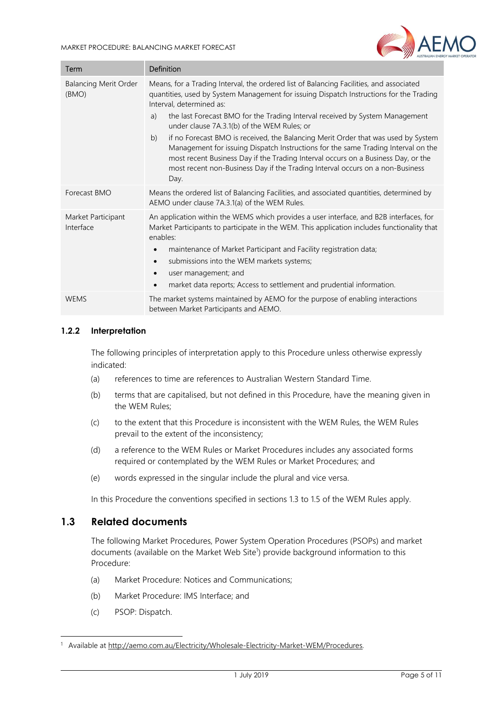

| Term                                  | Definition                                                                                                                                                                                                                                                                                                                                                                                                                                                                                                                                                                                                                                                                                                        |
|---------------------------------------|-------------------------------------------------------------------------------------------------------------------------------------------------------------------------------------------------------------------------------------------------------------------------------------------------------------------------------------------------------------------------------------------------------------------------------------------------------------------------------------------------------------------------------------------------------------------------------------------------------------------------------------------------------------------------------------------------------------------|
| <b>Balancing Merit Order</b><br>(BMO) | Means, for a Trading Interval, the ordered list of Balancing Facilities, and associated<br>quantities, used by System Management for issuing Dispatch Instructions for the Trading<br>Interval, determined as:<br>the last Forecast BMO for the Trading Interval received by System Management<br>a)<br>under clause 7A.3.1(b) of the WEM Rules; or<br>if no Forecast BMO is received, the Balancing Merit Order that was used by System<br>b)<br>Management for issuing Dispatch Instructions for the same Trading Interval on the<br>most recent Business Day if the Trading Interval occurs on a Business Day, or the<br>most recent non-Business Day if the Trading Interval occurs on a non-Business<br>Day. |
| Forecast BMO                          | Means the ordered list of Balancing Facilities, and associated quantities, determined by<br>AEMO under clause 7A.3.1(a) of the WEM Rules.                                                                                                                                                                                                                                                                                                                                                                                                                                                                                                                                                                         |
| Market Participant<br>Interface       | An application within the WEMS which provides a user interface, and B2B interfaces, for<br>Market Participants to participate in the WEM. This application includes functionality that<br>enables:<br>maintenance of Market Participant and Facility registration data;<br>$\bullet$<br>submissions into the WEM markets systems;<br>$\bullet$<br>user management; and<br>$\bullet$<br>market data reports; Access to settlement and prudential information.<br>$\bullet$                                                                                                                                                                                                                                         |
| <b>WEMS</b>                           | The market systems maintained by AEMO for the purpose of enabling interactions<br>between Market Participants and AEMO.                                                                                                                                                                                                                                                                                                                                                                                                                                                                                                                                                                                           |

#### 1.2.2 Interpretation

The following principles of interpretation apply to this Procedure unless otherwise expressly indicated:

- (a) references to time are references to Australian Western Standard Time.
- (b) terms that are capitalised, but not defined in this Procedure, have the meaning given in the WEM Rules;
- (c) to the extent that this Procedure is inconsistent with the WEM Rules, the WEM Rules prevail to the extent of the inconsistency;
- (d) a reference to the WEM Rules or Market Procedures includes any associated forms required or contemplated by the WEM Rules or Market Procedures; and
- (e) words expressed in the singular include the plural and vice versa.

In this Procedure the conventions specified in sections 1.3 to 1.5 of the WEM Rules apply.

#### 1.3 Related documents

The following Market Procedures, Power System Operation Procedures (PSOPs) and market documents (available on the Market Web Site<sup>1</sup>) provide background information to this Procedure:

- (a) Market Procedure: Notices and Communications;
- (b) Market Procedure: IMS Interface; and
- (c) PSOP: Dispatch.

-

<sup>&</sup>lt;sup>1</sup> Available at http://aemo.com.au/Electricity/Wholesale-Electricity-Market-WEM/Procedures.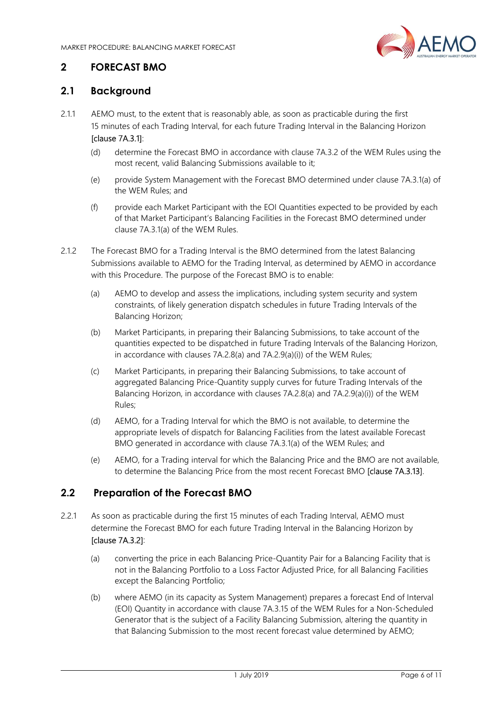

## 2 FORECAST BMO

## 2.1 Background

- 2.1.1 AEMO must, to the extent that is reasonably able, as soon as practicable during the first 15 minutes of each Trading Interval, for each future Trading Interval in the Balancing Horizon [clause 7A.3.1]:
	- (d) determine the Forecast BMO in accordance with clause 7A.3.2 of the WEM Rules using the most recent, valid Balancing Submissions available to it;
	- (e) provide System Management with the Forecast BMO determined under clause 7A.3.1(a) of the WEM Rules; and
	- (f) provide each Market Participant with the EOI Quantities expected to be provided by each of that Market Participant's Balancing Facilities in the Forecast BMO determined under clause 7A.3.1(a) of the WEM Rules.
- 2.1.2 The Forecast BMO for a Trading Interval is the BMO determined from the latest Balancing Submissions available to AEMO for the Trading Interval, as determined by AEMO in accordance with this Procedure. The purpose of the Forecast BMO is to enable:
	- (a) AEMO to develop and assess the implications, including system security and system constraints, of likely generation dispatch schedules in future Trading Intervals of the Balancing Horizon;
	- (b) Market Participants, in preparing their Balancing Submissions, to take account of the quantities expected to be dispatched in future Trading Intervals of the Balancing Horizon, in accordance with clauses 7A.2.8(a) and 7A.2.9(a)(i)) of the WEM Rules;
	- (c) Market Participants, in preparing their Balancing Submissions, to take account of aggregated Balancing Price-Quantity supply curves for future Trading Intervals of the Balancing Horizon, in accordance with clauses 7A.2.8(a) and 7A.2.9(a)(i)) of the WEM Rules;
	- (d) AEMO, for a Trading Interval for which the BMO is not available, to determine the appropriate levels of dispatch for Balancing Facilities from the latest available Forecast BMO generated in accordance with clause 7A.3.1(a) of the WEM Rules; and
	- (e) AEMO, for a Trading interval for which the Balancing Price and the BMO are not available, to determine the Balancing Price from the most recent Forecast BMO [clause 7A.3.13].

### 2.2 Preparation of the Forecast BMO

- 2.2.1 As soon as practicable during the first 15 minutes of each Trading Interval, AEMO must determine the Forecast BMO for each future Trading Interval in the Balancing Horizon by [clause 7A.3.2]:
	- (a) converting the price in each Balancing Price-Quantity Pair for a Balancing Facility that is not in the Balancing Portfolio to a Loss Factor Adjusted Price, for all Balancing Facilities except the Balancing Portfolio;
	- (b) where AEMO (in its capacity as System Management) prepares a forecast End of Interval (EOI) Quantity in accordance with clause 7A.3.15 of the WEM Rules for a Non-Scheduled Generator that is the subject of a Facility Balancing Submission, altering the quantity in that Balancing Submission to the most recent forecast value determined by AEMO;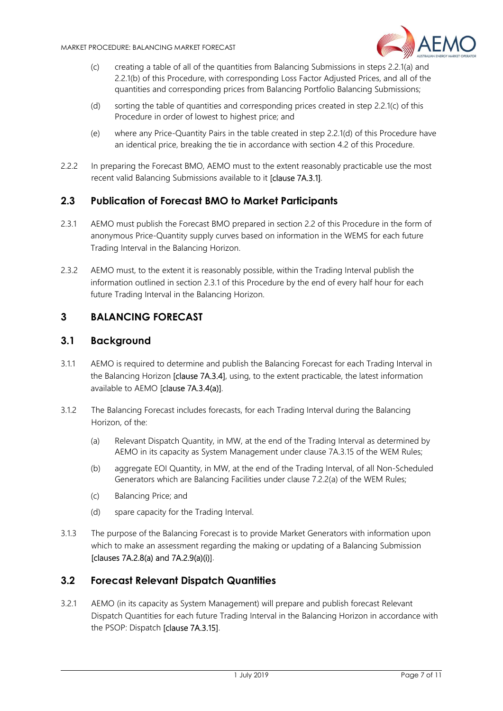

- (c) creating a table of all of the quantities from Balancing Submissions in steps 2.2.1(a) and 2.2.1(b) of this Procedure, with corresponding Loss Factor Adjusted Prices, and all of the quantities and corresponding prices from Balancing Portfolio Balancing Submissions;
- (d) sorting the table of quantities and corresponding prices created in step 2.2.1(c) of this Procedure in order of lowest to highest price; and
- (e) where any Price-Quantity Pairs in the table created in step 2.2.1(d) of this Procedure have an identical price, breaking the tie in accordance with section 4.2 of this Procedure.
- 2.2.2 In preparing the Forecast BMO, AEMO must to the extent reasonably practicable use the most recent valid Balancing Submissions available to it [clause 7A.3.1].

## 2.3 Publication of Forecast BMO to Market Participants

- 2.3.1 AEMO must publish the Forecast BMO prepared in section 2.2 of this Procedure in the form of anonymous Price-Quantity supply curves based on information in the WEMS for each future Trading Interval in the Balancing Horizon.
- 2.3.2 AEMO must, to the extent it is reasonably possible, within the Trading Interval publish the information outlined in section 2.3.1 of this Procedure by the end of every half hour for each future Trading Interval in the Balancing Horizon.

## 3 BALANCING FORECAST

#### 3.1 Background

- 3.1.1 AEMO is required to determine and publish the Balancing Forecast for each Trading Interval in the Balancing Horizon [clause 7A.3.4], using, to the extent practicable, the latest information available to AEMO [clause 7A.3.4(a)].
- 3.1.2 The Balancing Forecast includes forecasts, for each Trading Interval during the Balancing Horizon, of the:
	- (a) Relevant Dispatch Quantity, in MW, at the end of the Trading Interval as determined by AEMO in its capacity as System Management under clause 7A.3.15 of the WEM Rules;
	- (b) aggregate EOI Quantity, in MW, at the end of the Trading Interval, of all Non-Scheduled Generators which are Balancing Facilities under clause 7.2.2(a) of the WEM Rules;
	- (c) Balancing Price; and
	- (d) spare capacity for the Trading Interval.
- 3.1.3 The purpose of the Balancing Forecast is to provide Market Generators with information upon which to make an assessment regarding the making or updating of a Balancing Submission [clauses 7A.2.8(a) and 7A.2.9(a)(i)].

#### 3.2 Forecast Relevant Dispatch Quantities

3.2.1 AEMO (in its capacity as System Management) will prepare and publish forecast Relevant Dispatch Quantities for each future Trading Interval in the Balancing Horizon in accordance with the PSOP: Dispatch [clause 7A.3.15].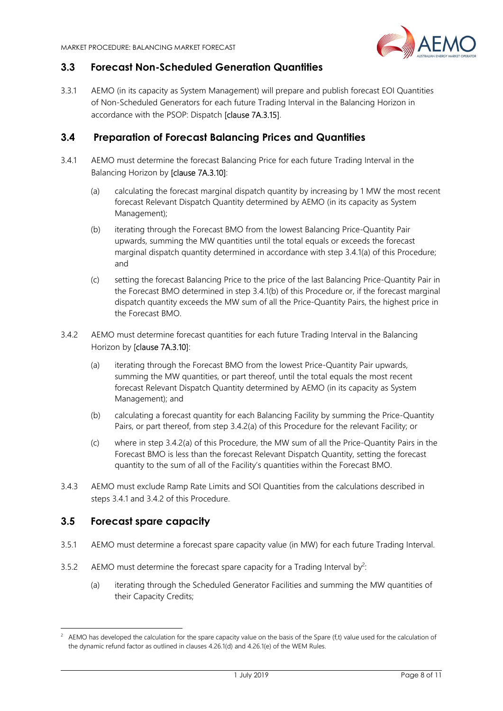

## 3.3 Forecast Non-Scheduled Generation Quantities

3.3.1 AEMO (in its capacity as System Management) will prepare and publish forecast EOI Quantities of Non-Scheduled Generators for each future Trading Interval in the Balancing Horizon in accordance with the PSOP: Dispatch [clause 7A.3.15].

### 3.4 Preparation of Forecast Balancing Prices and Quantities

- 3.4.1 AEMO must determine the forecast Balancing Price for each future Trading Interval in the Balancing Horizon by [clause 7A.3.10]:
	- (a) calculating the forecast marginal dispatch quantity by increasing by 1 MW the most recent forecast Relevant Dispatch Quantity determined by AEMO (in its capacity as System Management);
	- (b) iterating through the Forecast BMO from the lowest Balancing Price-Quantity Pair upwards, summing the MW quantities until the total equals or exceeds the forecast marginal dispatch quantity determined in accordance with step 3.4.1(a) of this Procedure; and
	- (c) setting the forecast Balancing Price to the price of the last Balancing Price-Quantity Pair in the Forecast BMO determined in step 3.4.1(b) of this Procedure or, if the forecast marginal dispatch quantity exceeds the MW sum of all the Price-Quantity Pairs, the highest price in the Forecast BMO.
- 3.4.2 AEMO must determine forecast quantities for each future Trading Interval in the Balancing Horizon by [clause 7A.3.10]:
	- (a) iterating through the Forecast BMO from the lowest Price-Quantity Pair upwards, summing the MW quantities, or part thereof, until the total equals the most recent forecast Relevant Dispatch Quantity determined by AEMO (in its capacity as System Management); and
	- (b) calculating a forecast quantity for each Balancing Facility by summing the Price-Quantity Pairs, or part thereof, from step 3.4.2(a) of this Procedure for the relevant Facility; or
	- (c) where in step 3.4.2(a) of this Procedure, the MW sum of all the Price-Quantity Pairs in the Forecast BMO is less than the forecast Relevant Dispatch Quantity, setting the forecast quantity to the sum of all of the Facility's quantities within the Forecast BMO.
- 3.4.3 AEMO must exclude Ramp Rate Limits and SOI Quantities from the calculations described in steps 3.4.1 and 3.4.2 of this Procedure.

#### 3.5 Forecast spare capacity

-

- 3.5.1 AEMO must determine a forecast spare capacity value (in MW) for each future Trading Interval.
- 3.5.2 AEMO must determine the forecast spare capacity for a Trading Interval by<sup>2</sup>:
	- (a) iterating through the Scheduled Generator Facilities and summing the MW quantities of their Capacity Credits;

 $2$  AEMO has developed the calculation for the spare capacity value on the basis of the Spare (f,t) value used for the calculation of the dynamic refund factor as outlined in clauses 4.26.1(d) and 4.26.1(e) of the WEM Rules.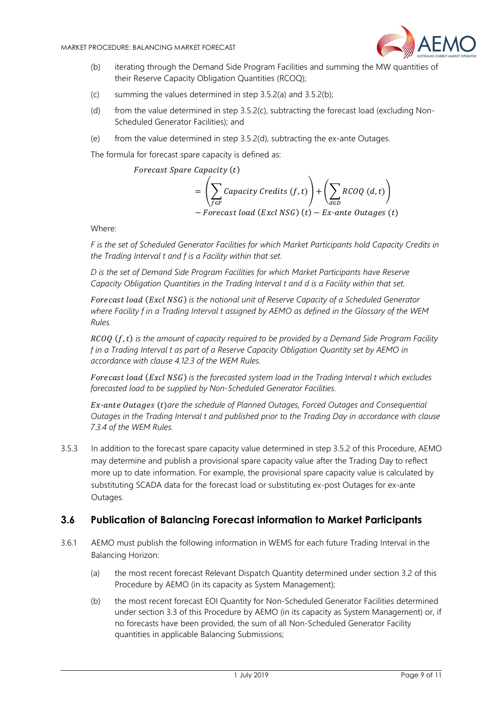

- (b) iterating through the Demand Side Program Facilities and summing the MW quantities of their Reserve Capacity Obligation Quantities (RCOQ);
- (c) summing the values determined in step 3.5.2(a) and 3.5.2(b);
- (d) from the value determined in step 3.5.2(c), subtracting the forecast load (excluding Non-Scheduled Generator Facilities); and
- (e) from the value determined in step 3.5.2(d), subtracting the ex-ante Outages.

The formula for forecast spare capacity is defined as:

Forecast Spare Capacity (t)

$$
= \left(\sum_{f \in F} Capacity\; Credits\; (f, t)\right) + \left(\sum_{d \in D} RCOQ\; (d, t)\right)
$$
  
- *Forecast load (Excl NSG) (t) - Ex-ante Outages (t)*

Where:

F is the set of Scheduled Generator Facilities for which Market Participants hold Capacity Credits in the Trading Interval t and f is a Facility within that set.

D is the set of Demand Side Program Facilities for which Market Participants have Reserve Capacity Obligation Quantities in the Trading Interval t and d is a Facility within that set.

Forecast load (Excl NSG) is the notional unit of Reserve Capacity of a Scheduled Generator where Facility f in a Trading Interval t assigned by AEMO as defined in the Glossary of the WEM Rules.

 $RCOO$  ( $f$ ,  $t$ ) is the amount of capacity required to be provided by a Demand Side Program Facility f in a Trading Interval t as part of a Reserve Capacity Obligation Quantity set by AEMO in accordance with clause 4.12.3 of the WEM Rules.

Forecast load (Excl NSG) is the forecasted system load in the Trading Interval t which excludes forecasted load to be supplied by Non-Scheduled Generator Facilities.

 $Ex$ -ante Outages (t)are the schedule of Planned Outages, Forced Outages and Consequential Outages in the Trading Interval t and published prior to the Trading Day in accordance with clause 7.3.4 of the WEM Rules.

3.5.3 In addition to the forecast spare capacity value determined in step 3.5.2 of this Procedure, AEMO may determine and publish a provisional spare capacity value after the Trading Day to reflect more up to date information. For example, the provisional spare capacity value is calculated by substituting SCADA data for the forecast load or substituting ex-post Outages for ex-ante Outages.

#### 3.6 Publication of Balancing Forecast information to Market Participants

- 3.6.1 AEMO must publish the following information in WEMS for each future Trading Interval in the Balancing Horizon:
	- (a) the most recent forecast Relevant Dispatch Quantity determined under section 3.2 of this Procedure by AEMO (in its capacity as System Management);
	- (b) the most recent forecast EOI Quantity for Non-Scheduled Generator Facilities determined under section 3.3 of this Procedure by AEMO (in its capacity as System Management) or, if no forecasts have been provided, the sum of all Non-Scheduled Generator Facility quantities in applicable Balancing Submissions;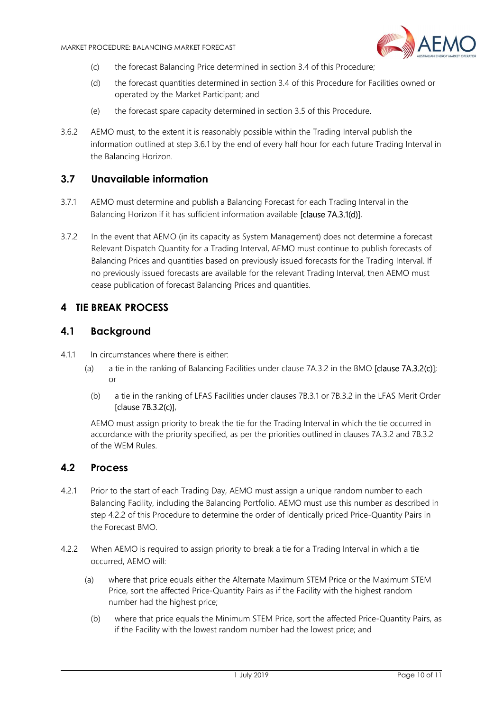

- (c) the forecast Balancing Price determined in section 3.4 of this Procedure;
- (d) the forecast quantities determined in section 3.4 of this Procedure for Facilities owned or operated by the Market Participant; and
- (e) the forecast spare capacity determined in section 3.5 of this Procedure.
- 3.6.2 AEMO must, to the extent it is reasonably possible within the Trading Interval publish the information outlined at step 3.6.1 by the end of every half hour for each future Trading Interval in the Balancing Horizon.

#### 3.7 Unavailable information

- 3.7.1 AEMO must determine and publish a Balancing Forecast for each Trading Interval in the Balancing Horizon if it has sufficient information available [clause 7A.3.1(d)].
- 3.7.2 In the event that AEMO (in its capacity as System Management) does not determine a forecast Relevant Dispatch Quantity for a Trading Interval, AEMO must continue to publish forecasts of Balancing Prices and quantities based on previously issued forecasts for the Trading Interval. If no previously issued forecasts are available for the relevant Trading Interval, then AEMO must cease publication of forecast Balancing Prices and quantities.

#### 4 TIE BREAK PROCESS

#### 4.1 Background

- 4.1.1 In circumstances where there is either:
	- (a) a tie in the ranking of Balancing Facilities under clause 7A.3.2 in the BMO [clause 7A.3.2(c)]; or
		- (b) a tie in the ranking of LFAS Facilities under clauses 7B.3.1 or 7B.3.2 in the LFAS Merit Order [clause 7B.3.2(c)],

AEMO must assign priority to break the tie for the Trading Interval in which the tie occurred in accordance with the priority specified, as per the priorities outlined in clauses 7A.3.2 and 7B.3.2 of the WEM Rules.

### 4.2 Process

- 4.2.1 Prior to the start of each Trading Day, AEMO must assign a unique random number to each Balancing Facility, including the Balancing Portfolio. AEMO must use this number as described in step 4.2.2 of this Procedure to determine the order of identically priced Price-Quantity Pairs in the Forecast BMO.
- 4.2.2 When AEMO is required to assign priority to break a tie for a Trading Interval in which a tie occurred, AEMO will:
	- (a) where that price equals either the Alternate Maximum STEM Price or the Maximum STEM Price, sort the affected Price-Quantity Pairs as if the Facility with the highest random number had the highest price;
		- (b) where that price equals the Minimum STEM Price, sort the affected Price-Quantity Pairs, as if the Facility with the lowest random number had the lowest price; and